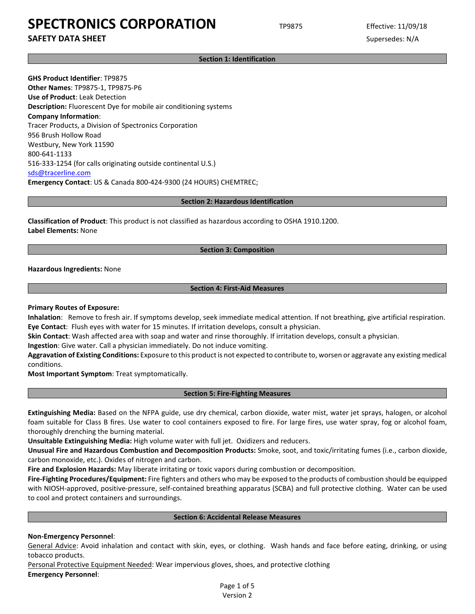## **SAFETY DATA SHEET** SUPERFOUR SUPERFOUR SUPERFOUR SUPERFOUR SUPERFOUR SUPERFOUR SUPERFOUR SUPERFOUR SUPERFOUR SUPERFOUR SUPERFOUR SUPERFOUR SUPERFOUR SUPERFOUR SUPERFOUR SUPERFOUR SUPERFOUR SUPERFOUR SUPERFOUR SUPERFOUR SU

**Section 1: Identification**

**GHS Product Identifier**: TP9875 **Other Names**: TP9875-1, TP9875-P6 **Use of Product**: Leak Detection **Description:** Fluorescent Dye for mobile air conditioning systems **Company Information**: Tracer Products, a Division of Spectronics Corporation 956 Brush Hollow Road Westbury, New York 11590 800-641-1133 516-333-1254 (for calls originating outside continental U.S.) [sds@tracerline.com](mailto:sds@tracerline.com) **Emergency Contact**: US & Canada 800-424-9300 (24 HOURS) CHEMTREC;

#### **Section 2: Hazardous Identification**

**Classification of Product**: This product is not classified as hazardous according to OSHA 1910.1200. **Label Elements:** None

### **Section 3: Composition**

**Hazardous Ingredients:** None

## **Section 4: First-Aid Measures**

### **Primary Routes of Exposure:**

**Inhalation**: Remove to fresh air. If symptoms develop, seek immediate medical attention. If not breathing, give artificial respiration. **Eye Contact**: Flush eyes with water for 15 minutes. If irritation develops, consult a physician.

**Skin Contact**: Wash affected area with soap and water and rinse thoroughly. If irritation develops, consult a physician.

**Ingestion**: Give water. Call a physician immediately. Do not induce vomiting.

**Aggravation of Existing Conditions:** Exposure to this product is not expected to contribute to, worsen or aggravate any existing medical conditions.

**Most Important Symptom**: Treat symptomatically.

### **Section 5: Fire-Fighting Measures**

**Extinguishing Media:** Based on the NFPA guide, use dry chemical, carbon dioxide, water mist, water jet sprays, halogen, or alcohol foam suitable for Class B fires. Use water to cool containers exposed to fire. For large fires, use water spray, fog or alcohol foam, thoroughly drenching the burning material.

**Unsuitable Extinguishing Media:** High volume water with full jet. Oxidizers and reducers.

**Unusual Fire and Hazardous Combustion and Decomposition Products:** Smoke, soot, and toxic/irritating fumes (i.e., carbon dioxide, carbon monoxide, etc.). Oxides of nitrogen and carbon.

**Fire and Explosion Hazards:** May liberate irritating or toxic vapors during combustion or decomposition.

**Fire-Fighting Procedures/Equipment:** Fire fighters and others who may be exposed to the products of combustion should be equipped with NIOSH-approved, positive-pressure, self-contained breathing apparatus (SCBA) and full protective clothing. Water can be used to cool and protect containers and surroundings.

### **Section 6: Accidental Release Measures**

## **Non-Emergency Personnel**:

General Advice: Avoid inhalation and contact with skin, eyes, or clothing. Wash hands and face before eating, drinking, or using tobacco products.

Personal Protective Equipment Needed: Wear impervious gloves, shoes, and protective clothing **Emergency Personnel**:

> Page 1 of 5 Version 2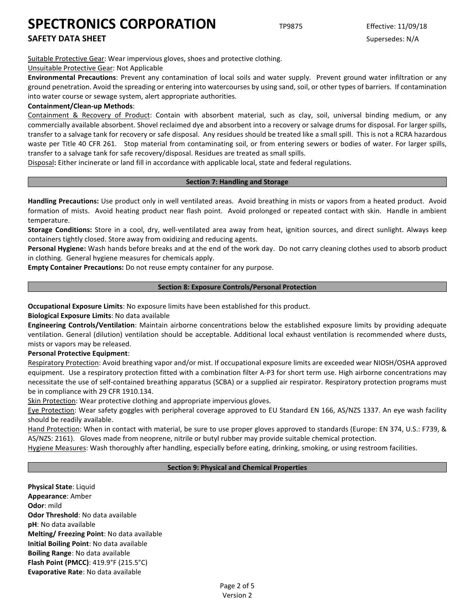**SAFETY DATA SHEET** SUPERFOUR SUPERFOUR SUPERFOUR SUPERFOUR SUPERFOUR SUPERFOUR SUPERFOUR SUPERFOUR SUPERFOUR SUPERFOUR SUPERFOUR SUPERFOUR SUPERFOUR SUPERFOUR SUPERFOUR SUPERFOUR SUPERFOUR SUPERFOUR SUPERFOUR SUPERFOUR SU

Suitable Protective Gear: Wear impervious gloves, shoes and protective clothing.

Unsuitable Protective Gear: Not Applicable

**Environmental Precautions**: Prevent any contamination of local soils and water supply. Prevent ground water infiltration or any ground penetration. Avoid the spreading or entering into watercourses by using sand, soil, or other types of barriers. If contamination into water course or sewage system, alert appropriate authorities.

## **Containment/Clean-up Methods**:

Containment & Recovery of Product: Contain with absorbent material, such as clay, soil, universal binding medium, or any commercially available absorbent. Shovel reclaimed dye and absorbent into a recovery or salvage drums for disposal. For larger spills, transfer to a salvage tank for recovery or safe disposal. Any residues should be treated like a small spill. This is not a RCRA hazardous waste per Title 40 CFR 261. Stop material from contaminating soil, or from entering sewers or bodies of water. For larger spills, transfer to a salvage tank for safe recovery/disposal. Residues are treated as small spills.

Disposal**:** Either incinerate or land fill in accordance with applicable local, state and federal regulations.

## **Section 7: Handling and Storage**

**Handling Precautions:** Use product only in well ventilated areas. Avoid breathing in mists or vapors from a heated product. Avoid formation of mists. Avoid heating product near flash point. Avoid prolonged or repeated contact with skin. Handle in ambient temperature.

**Storage Conditions:** Store in a cool, dry, well-ventilated area away from heat, ignition sources, and direct sunlight. Always keep containers tightly closed. Store away from oxidizing and reducing agents.

**Personal Hygiene:** Wash hands before breaks and at the end of the work day. Do not carry cleaning clothes used to absorb product in clothing. General hygiene measures for chemicals apply.

**Empty Container Precautions:** Do not reuse empty container for any purpose.

### **Section 8: Exposure Controls/Personal Protection**

**Occupational Exposure Limits**: No exposure limits have been established for this product.

**Biological Exposure Limits**: No data available

**Engineering Controls/Ventilation**: Maintain airborne concentrations below the established exposure limits by providing adequate ventilation. General (dilution) ventilation should be acceptable. Additional local exhaust ventilation is recommended where dusts, mists or vapors may be released.

## **Personal Protective Equipment**:

Respiratory Protection: Avoid breathing vapor and/or mist. If occupational exposure limits are exceeded wear NIOSH/OSHA approved equipment. Use a respiratory protection fitted with a combination filter A-P3 for short term use. High airborne concentrations may necessitate the use of self-contained breathing apparatus (SCBA) or a supplied air respirator. Respiratory protection programs must be in compliance with 29 CFR 1910.134.

Skin Protection: Wear protective clothing and appropriate impervious gloves.

Eye Protection: Wear safety goggles with peripheral coverage approved to EU Standard EN 166, AS/NZS 1337. An eye wash facility should be readily available.

Hand Protection: When in contact with material, be sure to use proper gloves approved to standards (Europe: EN 374, U.S.: F739, & AS/NZS: 2161). Gloves made from neoprene, nitrile or butyl rubber may provide suitable chemical protection.

Hygiene Measures: Wash thoroughly after handling, especially before eating, drinking, smoking, or using restroom facilities.

## **Section 9: Physical and Chemical Properties**

**Physical State**: Liquid **Appearance**: Amber **Odor**: mild **Odor Threshold**: No data available **pH**: No data available **Melting/ Freezing Point**: No data available **Initial Boiling Point**: No data available **Boiling Range**: No data available **Flash Point (PMCC)**: 419.9°F (215.5°C) **Evaporative Rate**: No data available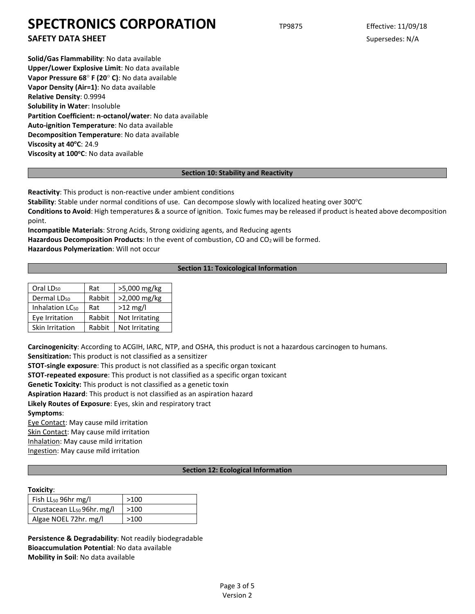**SAFETY DATA SHEET** SUPERFOUR SUPERFOUR SUPERFOUR SUPERFOUR SUPERFOUR SUPERFOUR SUPERFOUR SUPERFOUR SUPERFOUR SUPERFOUR SUPERFOUR SUPERFOUR SUPERFOUR SUPERFOUR SUPERFOUR SUPERFOUR SUPERFOUR SUPERFOUR SUPERFOUR SUPERFOUR SU

**Solid/Gas Flammability**: No data available **Upper/Lower Explosive Limit**: No data available **Vapor Pressure 68**° **F (20**° **C)**: No data available **Vapor Density (Air=1)**: No data available **Relative Density**: 0.9994 **Solubility in Water**: Insoluble **Partition Coefficient: n-octanol/water**: No data available **Auto-ignition Temperature**: No data available **Decomposition Temperature**: No data available **Viscosity at 40°C: 24.9** Viscosity at 100°C: No data available

## **Section 10: Stability and Reactivity**

**Reactivity**: This product is non-reactive under ambient conditions

Stability: Stable under normal conditions of use. Can decompose slowly with localized heating over 300°C

**Conditions to Avoid**: High temperatures & a source of ignition. Toxic fumes may be released if product is heated above decomposition point.

**Incompatible Materials**: Strong Acids, Strong oxidizing agents, and Reducing agents

Hazardous Decomposition Products: In the event of combustion, CO and CO<sub>2</sub> will be formed.

**Hazardous Polymerization**: Will not occur

## **Section 11: Toxicological Information**

| Oral LD <sub>50</sub>       | Rat    | >5,000 mg/kg   |
|-----------------------------|--------|----------------|
| Dermal LD <sub>50</sub>     | Rabbit | >2,000 mg/kg   |
| Inhalation LC <sub>50</sub> | Rat    | $>12$ mg/l     |
| Eye Irritation              | Rabbit | Not Irritating |
| Skin Irritation             | Rabbit | Not Irritating |

**Carcinogenicity**: According to ACGIH, IARC, NTP, and OSHA, this product is not a hazardous carcinogen to humans. **Sensitization:** This product is not classified as a sensitizer

**STOT-single exposure**: This product is not classified as a specific organ toxicant

**STOT-repeated exposure**: This product is not classified as a specific organ toxicant

**Genetic Toxicity:** This product is not classified as a genetic toxin

**Aspiration Hazard**: This product is not classified as an aspiration hazard

**Likely Routes of Exposure**: Eyes, skin and respiratory tract

**Symptoms**:

Eye Contact: May cause mild irritation Skin Contact: May cause mild irritation Inhalation: May cause mild irritation

Ingestion: May cause mild irritation

### **Section 12: Ecological Information**

### **Toxicity**:

| Fish $LL_{50}$ 96hr mg/l                       | >100 |
|------------------------------------------------|------|
| $\vert$ Crustacean LL <sub>50</sub> 96hr. mg/l | >100 |
| Algae NOEL 72hr. mg/l                          | >100 |

**Persistence & Degradability**: Not readily biodegradable **Bioaccumulation Potential**: No data available **Mobility in Soil**: No data available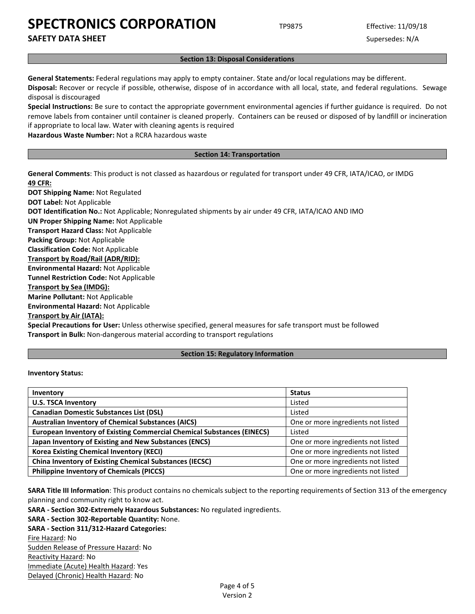**SAFETY DATA SHEET** SUPERFOUR SUPERFOUR SUPERFOUR SUPERFOUR SUPERFOUR SUPERFOUR SUPERFOUR SUPERFOUR SUPERFOUR SUPERFOUR SUPERFOUR SUPERFOUR SUPERFOUR SUPERFOUR SUPERFOUR SUPERFOUR SUPERFOUR SUPERFOUR SUPERFOUR SUPERFOUR SU

#### **Section 13: Disposal Considerations**

**General Statements:** Federal regulations may apply to empty container. State and/or local regulations may be different.

**Disposal:** Recover or recycle if possible, otherwise, dispose of in accordance with all local, state, and federal regulations. Sewage disposal is discouraged

**Special Instructions:** Be sure to contact the appropriate government environmental agencies if further guidance is required. Do not remove labels from container until container is cleaned properly. Containers can be reused or disposed of by landfill or incineration if appropriate to local law. Water with cleaning agents is required

**Hazardous Waste Number:** Not a RCRA hazardous waste

#### **Section 14: Transportation**

**General Comments**: This product is not classed as hazardous or regulated for transport under 49 CFR, IATA/ICAO, or IMDG **49 CFR:**

**DOT Shipping Name:** Not Regulated **DOT Label:** Not Applicable **DOT Identification No.:** Not Applicable; Nonregulated shipments by air under 49 CFR, IATA/ICAO AND IMO **UN Proper Shipping Name:** Not Applicable **Transport Hazard Class:** Not Applicable **Packing Group:** Not Applicable **Classification Code:** Not Applicable **Transport by Road/Rail (ADR/RID): Environmental Hazard:** Not Applicable **Tunnel Restriction Code:** Not Applicable **Transport by Sea (IMDG): Marine Pollutant:** Not Applicable **Environmental Hazard:** Not Applicable **Transport by Air (IATA):**

**Special Precautions for User:** Unless otherwise specified, general measures for safe transport must be followed **Transport in Bulk:** Non-dangerous material according to transport regulations

### **Section 15: Regulatory Information**

### **Inventory Status:**

| Inventory                                                                     | <b>Status</b>                      |
|-------------------------------------------------------------------------------|------------------------------------|
| <b>U.S. TSCA Inventory</b>                                                    | Listed                             |
| <b>Canadian Domestic Substances List (DSL)</b>                                | Listed                             |
| <b>Australian Inventory of Chemical Substances (AICS)</b>                     | One or more ingredients not listed |
| <b>European Inventory of Existing Commercial Chemical Substances (EINECS)</b> | Listed                             |
| Japan Inventory of Existing and New Substances (ENCS)                         | One or more ingredients not listed |
| <b>Korea Existing Chemical Inventory (KECI)</b>                               | One or more ingredients not listed |
| <b>China Inventory of Existing Chemical Substances (IECSC)</b>                | One or more ingredients not listed |
| <b>Philippine Inventory of Chemicals (PICCS)</b>                              | One or more ingredients not listed |

**SARA Title III Information**: This product contains no chemicals subject to the reporting requirements of Section 313 of the emergency planning and community right to know act.

**SARA - Section 302-Extremely Hazardous Substances:** No regulated ingredients.

**SARA - Section 302-Reportable Quantity:** None.

**SARA - Section 311/312-Hazard Categories:** Fire Hazard: No Sudden Release of Pressure Hazard: No Reactivity Hazard: No Immediate (Acute) Health Hazard: Yes Delayed (Chronic) Health Hazard: No